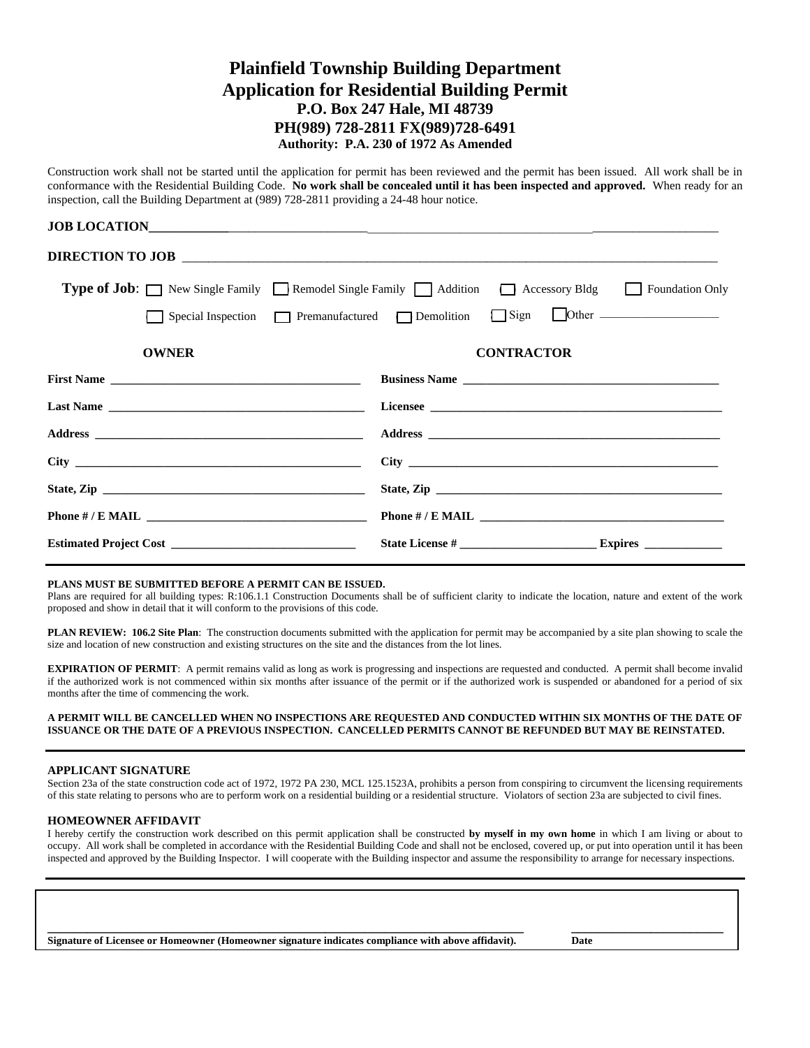# **Plainfield Township Building Department Application for Residential Building Permit P.O. Box 247 Hale, MI 48739 PH(989) 728-2811 FX(989)728-6491 Authority: P.A. 230 of 1972 As Amended**

Construction work shall not be started until the application for permit has been reviewed and the permit has been issued. All work shall be in conformance with the Residential Building Code. **No work shall be concealed until it has been inspected and approved.** When ready for an inspection, call the Building Department at (989) 728-2811 providing a 24-48 hour notice.

|                       | <b>Type of Job:</b> New Single Family Remodel Single Family Addition Blacessory Bldg Boundation Only                                                                                                                           |
|-----------------------|--------------------------------------------------------------------------------------------------------------------------------------------------------------------------------------------------------------------------------|
|                       | Special Inspection Premanufactured Demolition Sign Other _______________________                                                                                                                                               |
| <b>OWNER</b>          | <b>CONTRACTOR</b>                                                                                                                                                                                                              |
| First Name            | Business Name                                                                                                                                                                                                                  |
|                       | Licensee Licensee Licensee Licensee Licensee Licensee Licensee Licensee Licensee Licensee Licensee Licensee Licensee Licensee Licensee Licensee Licensee Licensee Licensee Licensee Licensee Licensee Licensee Licensee Licens |
|                       |                                                                                                                                                                                                                                |
|                       |                                                                                                                                                                                                                                |
|                       |                                                                                                                                                                                                                                |
| Phone # / E MAIL $\_$ |                                                                                                                                                                                                                                |
|                       |                                                                                                                                                                                                                                |

#### **PLANS MUST BE SUBMITTED BEFORE A PERMIT CAN BE ISSUED.**

Plans are required for all building types: R:106.1.1 Construction Documents shall be of sufficient clarity to indicate the location, nature and extent of the work proposed and show in detail that it will conform to the provisions of this code.

**PLAN REVIEW: 106.2 Site Plan**: The construction documents submitted with the application for permit may be accompanied by a site plan showing to scale the size and location of new construction and existing structures on the site and the distances from the lot lines.

**EXPIRATION OF PERMIT**: A permit remains valid as long as work is progressing and inspections are requested and conducted. A permit shall become invalid if the authorized work is not commenced within six months after issuance of the permit or if the authorized work is suspended or abandoned for a period of six months after the time of commencing the work.

#### **A PERMIT WILL BE CANCELLED WHEN NO INSPECTIONS ARE REQUESTED AND CONDUCTED WITHIN SIX MONTHS OF THE DATE OF ISSUANCE OR THE DATE OF A PREVIOUS INSPECTION. CANCELLED PERMITS CANNOT BE REFUNDED BUT MAY BE REINSTATED.**

#### **APPLICANT SIGNATURE**

Section 23a of the state construction code act of 1972, 1972 PA 230, MCL 125.1523A, prohibits a person from conspiring to circumvent the licensing requirements of this state relating to persons who are to perform work on a residential building or a residential structure. Violators of section 23a are subjected to civil fines.

#### **HOMEOWNER AFFIDAVIT**

I hereby certify the construction work described on this permit application shall be constructed **by myself in my own home** in which I am living or about to occupy. All work shall be completed in accordance with the Residential Building Code and shall not be enclosed, covered up, or put into operation until it has been inspected and approved by the Building Inspector. I will cooperate with the Building inspector and assume the responsibility to arrange for necessary inspections.

**\_\_\_\_\_\_\_\_\_\_\_\_\_\_\_\_\_\_\_\_\_\_\_\_\_\_\_\_\_\_\_\_\_\_\_\_\_\_\_\_\_\_\_\_\_\_\_\_\_\_\_\_\_\_\_\_\_\_\_\_\_\_\_\_\_\_\_\_\_\_\_\_ \_\_\_\_\_\_\_\_\_\_\_\_\_\_\_\_\_\_\_\_\_\_\_ Signature of Licensee or Homeowner (Homeowner signature indicates compliance with above affidavit). Date**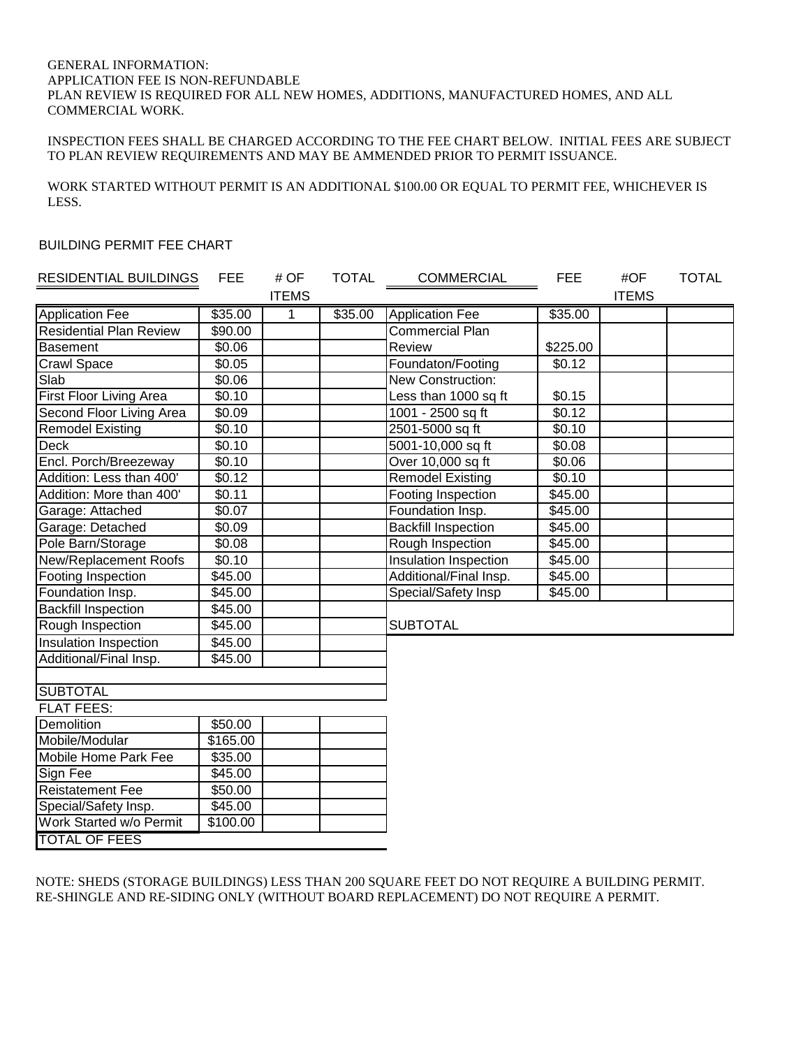### GENERAL INFORMATION: APPLICATION FEE IS NON-REFUNDABLE PLAN REVIEW IS REQUIRED FOR ALL NEW HOMES, ADDITIONS, MANUFACTURED HOMES, AND ALL COMMERCIAL WORK.

## INSPECTION FEES SHALL BE CHARGED ACCORDING TO THE FEE CHART BELOW. INITIAL FEES ARE SUBJECT TO PLAN REVIEW REQUIREMENTS AND MAY BE AMMENDED PRIOR TO PERMIT ISSUANCE.

WORK STARTED WITHOUT PERMIT IS AN ADDITIONAL \$100.00 OR EQUAL TO PERMIT FEE, WHICHEVER IS LESS.

### BUILDING PERMIT FEE CHART

| LESS.                            |                    |              |              |                              |                    |              |              |
|----------------------------------|--------------------|--------------|--------------|------------------------------|--------------------|--------------|--------------|
| <b>BUILDING PERMIT FEE CHART</b> |                    |              |              |                              |                    |              |              |
|                                  |                    |              |              |                              |                    |              |              |
| <b>RESIDENTIAL BUILDINGS</b>     | <b>FEE</b>         | # OF         | <b>TOTAL</b> | <b>COMMERCIAL</b>            | <b>FEE</b>         | #OF          | <b>TOTAL</b> |
|                                  |                    | <b>ITEMS</b> |              |                              |                    | <b>ITEMS</b> |              |
| <b>Application Fee</b>           | \$35.00            | 1            | \$35.00      | <b>Application Fee</b>       | \$35.00            |              |              |
| <b>Residential Plan Review</b>   | \$90.00            |              |              | <b>Commercial Plan</b>       |                    |              |              |
| <b>Basement</b>                  | \$0.06             |              |              | Review                       | \$225.00           |              |              |
| Crawl Space                      | \$0.05             |              |              | Foundaton/Footing            | \$0.12             |              |              |
| Slab                             | \$0.06             |              |              | New Construction:            |                    |              |              |
| <b>First Floor Living Area</b>   | \$0.10             |              |              | Less than 1000 sq ft         | \$0.15             |              |              |
| Second Floor Living Area         | \$0.09             |              |              | 1001 - 2500 sq ft            | \$0.12             |              |              |
| <b>Remodel Existing</b>          | \$0.10             |              |              | 2501-5000 sq ft              | $\overline{$}0.10$ |              |              |
| <b>Deck</b>                      | $\overline{$}0.10$ |              |              | 5001-10,000 sq ft            | \$0.08             |              |              |
| Encl. Porch/Breezeway            | \$0.10             |              |              | Over 10,000 sq ft            | \$0.06             |              |              |
| Addition: Less than 400'         | \$0.12             |              |              | <b>Remodel Existing</b>      | \$0.10             |              |              |
| Addition: More than 400'         | \$0.11             |              |              | Footing Inspection           | \$45.00            |              |              |
| Garage: Attached                 | \$0.07             |              |              | Foundation Insp.             | \$45.00            |              |              |
| Garage: Detached                 | \$0.09             |              |              | <b>Backfill Inspection</b>   | \$45.00            |              |              |
| Pole Barn/Storage                | \$0.08             |              |              | Rough Inspection             | \$45.00            |              |              |
| New/Replacement Roofs            | \$0.10             |              |              | <b>Insulation Inspection</b> | \$45.00            |              |              |
| Footing Inspection               | \$45.00            |              |              | Additional/Final Insp.       | \$45.00            |              |              |
| Foundation Insp.                 | \$45.00            |              |              | Special/Safety Insp          | \$45.00            |              |              |
| <b>Backfill Inspection</b>       | \$45.00            |              |              |                              |                    |              |              |
| Rough Inspection                 | \$45.00            |              |              | <b>SUBTOTAL</b>              |                    |              |              |
| Insulation Inspection            | \$45.00            |              |              |                              |                    |              |              |
| Additional/Final Insp.           | \$45.00            |              |              |                              |                    |              |              |
|                                  |                    |              |              |                              |                    |              |              |
| <b>SUBTOTAL</b>                  |                    |              |              |                              |                    |              |              |
| <b>FLAT FEES:</b>                |                    |              |              |                              |                    |              |              |
| Demolition                       | \$50.00            |              |              |                              |                    |              |              |
| Mobile/Modular                   | \$165.00           |              |              |                              |                    |              |              |
| Mobile Home Park Fee             | \$35.00            |              |              |                              |                    |              |              |
| Sign Fee                         | \$45.00            |              |              |                              |                    |              |              |
| <b>Reistatement Fee</b>          | \$50.00            |              |              |                              |                    |              |              |
| Special/Safety Insp.             | \$45.00            |              |              |                              |                    |              |              |
| Work Started w/o Permit          | \$100.00           |              |              |                              |                    |              |              |
| <b>TOTAL OF FEES</b>             |                    |              |              |                              |                    |              |              |

NOTE: SHEDS (STORAGE BUILDINGS) LESS THAN 200 SQUARE FEET DO NOT REQUIRE A BUILDING PERMIT. RE-SHINGLE AND RE-SIDING ONLY (WITHOUT BOARD REPLACEMENT) DO NOT REQUIRE A PERMIT.